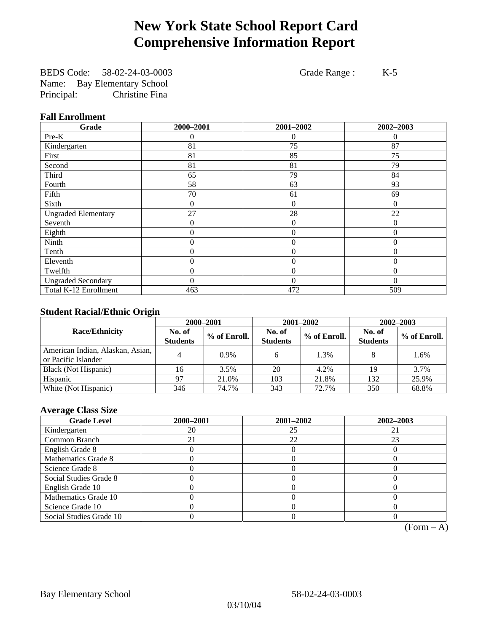# **New York State School Report Card Comprehensive Information Report**

BEDS Code: 58-02-24-03-0003 Grade Range : K-5 Name: Bay Elementary School Principal: Christine Fina

### **Fall Enrollment**

| Grade                      | 2000-2001 | 2001-2002      | 2002-2003 |
|----------------------------|-----------|----------------|-----------|
| $Pre-K$                    | 0         | 0              | $\theta$  |
| Kindergarten               | 81        | 75             | 87        |
| First                      | 81        | 85             | 75        |
| Second                     | 81        | 81             | 79        |
| Third                      | 65        | 79             | 84        |
| Fourth                     | 58        | 63             | 93        |
| Fifth                      | 70        | 61             | 69        |
| Sixth                      | 0         | $\theta$       | $\Omega$  |
| <b>Ungraded Elementary</b> | 27        | 28             | 22        |
| Seventh                    | 0         | $\overline{0}$ | $\theta$  |
| Eighth                     | $\theta$  | $\theta$       | $\Omega$  |
| Ninth                      | 0         | $\theta$       | $\Omega$  |
| Tenth                      | 0         | 0              | $\theta$  |
| Eleventh                   | 0         | $\overline{0}$ | $\theta$  |
| Twelfth                    | 0         | $\overline{0}$ | $\Omega$  |
| <b>Ungraded Secondary</b>  | $\theta$  | $\theta$       | $\theta$  |
| Total K-12 Enrollment      | 463       | 472            | 509       |

### **Student Racial/Ethnic Origin**

|                                                         | 2000-2001                 |              |                           | 2001-2002    | $2002 - 2003$             |                |
|---------------------------------------------------------|---------------------------|--------------|---------------------------|--------------|---------------------------|----------------|
| <b>Race/Ethnicity</b>                                   | No. of<br><b>Students</b> | % of Enroll. | No. of<br><b>Students</b> | % of Enroll. | No. of<br><b>Students</b> | $%$ of Enroll. |
| American Indian, Alaskan, Asian,<br>or Pacific Islander |                           | $0.9\%$      |                           | 1.3%         |                           | 1.6%           |
| Black (Not Hispanic)                                    | 16                        | 3.5%         | 20                        | 4.2%         | 19                        | 3.7%           |
| Hispanic                                                | 97                        | 21.0%        | 103                       | 21.8%        | 132                       | 25.9%          |
| White (Not Hispanic)                                    | 346                       | 74.7%        | 343                       | 72.7%        | 350                       | 68.8%          |

### **Average Class Size**

| <b>Grade Level</b>      | 2000-2001 | 2001-2002 | 2002-2003 |
|-------------------------|-----------|-----------|-----------|
| Kindergarten            | 20        | 25        |           |
| Common Branch           |           | 22        | 23        |
| English Grade 8         |           |           |           |
| Mathematics Grade 8     |           |           |           |
| Science Grade 8         |           |           |           |
| Social Studies Grade 8  |           |           |           |
| English Grade 10        |           |           |           |
| Mathematics Grade 10    |           |           |           |
| Science Grade 10        |           |           |           |
| Social Studies Grade 10 |           |           |           |

 $(Form - A)$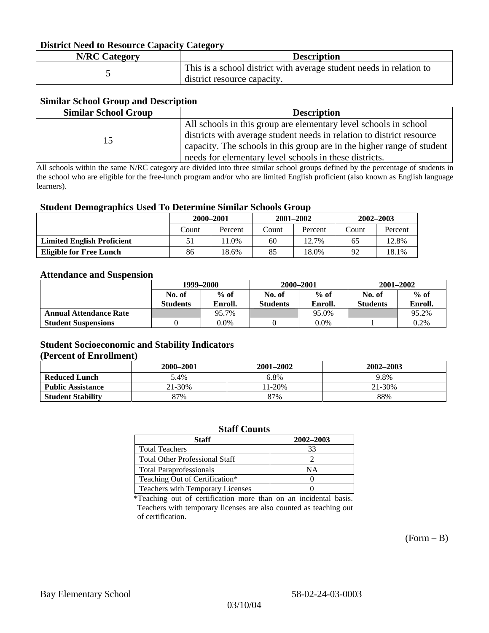### **District Need to Resource Capacity Category**

| <b>N/RC Category</b> | <b>Description</b>                                                                                 |
|----------------------|----------------------------------------------------------------------------------------------------|
|                      | This is a school district with average student needs in relation to<br>district resource capacity. |

### **Similar School Group and Description**

| <b>Similar School Group</b> | <b>Description</b>                                                     |
|-----------------------------|------------------------------------------------------------------------|
|                             | All schools in this group are elementary level schools in school       |
| 15                          | districts with average student needs in relation to district resource  |
|                             | capacity. The schools in this group are in the higher range of student |
|                             | needs for elementary level schools in these districts.                 |

All schools within the same N/RC category are divided into three similar school groups defined by the percentage of students in the school who are eligible for the free-lunch program and/or who are limited English proficient (also known as English language learners).

#### **Student Demographics Used To Determine Similar Schools Group**

|                                   | 2000-2001 |         | $2001 - 2002$ |         | $2002 - 2003$ |         |
|-----------------------------------|-----------|---------|---------------|---------|---------------|---------|
|                                   | Count     | Percent | Count         | Percent | Count         | Percent |
| <b>Limited English Proficient</b> |           | 1.0%    | 60            | 12.7%   | 65            | 12.8%   |
| Eligible for Free Lunch           | 86        | 18.6%   | 85            | 18.0%   | 92            | 18.1%   |

#### **Attendance and Suspension**

|                               | 1999–2000        |         | 2000-2001       |         | $2001 - 2002$   |         |
|-------------------------------|------------------|---------|-----------------|---------|-----------------|---------|
|                               | $%$ of<br>No. of |         | No. of          | $%$ of  |                 | $%$ of  |
|                               | <b>Students</b>  | Enroll. | <b>Students</b> | Enroll. | <b>Students</b> | Enroll. |
| <b>Annual Attendance Rate</b> |                  | 95.7%   |                 | 95.0%   |                 | 95.2%   |
| <b>Student Suspensions</b>    |                  | 0.0%    |                 | $0.0\%$ |                 | 0.2%    |

### **Student Socioeconomic and Stability Indicators (Percent of Enrollment)**

|                          | 2000-2001 | $2001 - 2002$ | 2002-2003 |
|--------------------------|-----------|---------------|-----------|
| <b>Reduced Lunch</b>     | 5.4%      | 6.8%          | 9.8%      |
| <b>Public Assistance</b> | 21-30%    | $1-20%$       | 21-30%    |
| <b>Student Stability</b> | 87%       | 87%           | 88%       |

#### **Staff Counts**

| Staff                                   | 2002-2003 |
|-----------------------------------------|-----------|
| <b>Total Teachers</b>                   | 33        |
| <b>Total Other Professional Staff</b>   |           |
| <b>Total Paraprofessionals</b>          | NΑ        |
| Teaching Out of Certification*          |           |
| <b>Teachers with Temporary Licenses</b> |           |

\*Teaching out of certification more than on an incidental basis. Teachers with temporary licenses are also counted as teaching out of certification.

 $(Form - B)$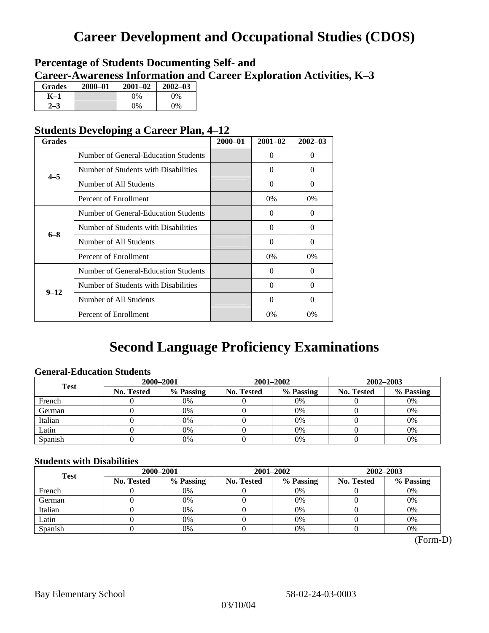# **Career Development and Occupational Studies (CDOS)**

### **Percentage of Students Documenting Self- and Career-Awareness Information and Career Exploration Activities, K–3**

| <b>Grades</b> | $2000 - 01$ | $2001 - 02$ | $2002 - 03$ |
|---------------|-------------|-------------|-------------|
| K–1           |             | $0\%$       | 0%          |
| $2 - 3$       |             | 0%          | 0%          |

### **Students Developing a Career Plan, 4–12**

| <b>Grades</b> |                                      | $2000 - 01$ | $2001 - 02$ | $2002 - 03$ |
|---------------|--------------------------------------|-------------|-------------|-------------|
|               | Number of General-Education Students |             | $\Omega$    | $\theta$    |
| $4 - 5$       | Number of Students with Disabilities |             | $\Omega$    | 0           |
|               | Number of All Students               |             | 0           | 0           |
|               | Percent of Enrollment                |             | 0%          | 0%          |
|               | Number of General-Education Students |             | $\Omega$    | 0           |
| $6 - 8$       | Number of Students with Disabilities |             | $\Omega$    | $\Omega$    |
|               | Number of All Students               |             | $\Omega$    | $\Omega$    |
|               | Percent of Enrollment                |             | $0\%$       | $0\%$       |
|               | Number of General-Education Students |             | $\Omega$    | 0           |
| $9 - 12$      | Number of Students with Disabilities |             | 0           | 0           |
|               | Number of All Students               |             | $\Omega$    | $\theta$    |
|               | Percent of Enrollment                |             | 0%          | $0\%$       |

# **Second Language Proficiency Examinations**

### **General-Education Students**

| <b>Test</b> | 2000-2001         |           |            | 2001-2002 | $2002 - 2003$ |           |
|-------------|-------------------|-----------|------------|-----------|---------------|-----------|
|             | <b>No. Tested</b> | % Passing | No. Tested | % Passing | No. Tested    | % Passing |
| French      |                   | 0%        |            | 0%        |               | 0%        |
| German      |                   | 0%        |            | $0\%$     |               | 0%        |
| Italian     |                   | 0%        |            | 0%        |               | 0%        |
| Latin       |                   | 0%        |            | 0%        |               | 0%        |
| Spanish     |                   | 0%        |            | 0%        |               | 0%        |

### **Students with Disabilities**

| <b>Test</b> | 2000-2001         |           |            | 2001-2002 | 2002-2003  |           |  |
|-------------|-------------------|-----------|------------|-----------|------------|-----------|--|
|             | <b>No. Tested</b> | % Passing | No. Tested | % Passing | No. Tested | % Passing |  |
| French      |                   | 0%        |            | 0%        |            | 0%        |  |
| German      |                   | 0%        |            | 0%        |            | 0%        |  |
| Italian     |                   | 0%        |            | 0%        |            | 0%        |  |
| Latin       |                   | 0%        |            | 0%        |            | 0%        |  |
| Spanish     |                   | 0%        |            | 0%        |            | 0%        |  |

(Form-D)